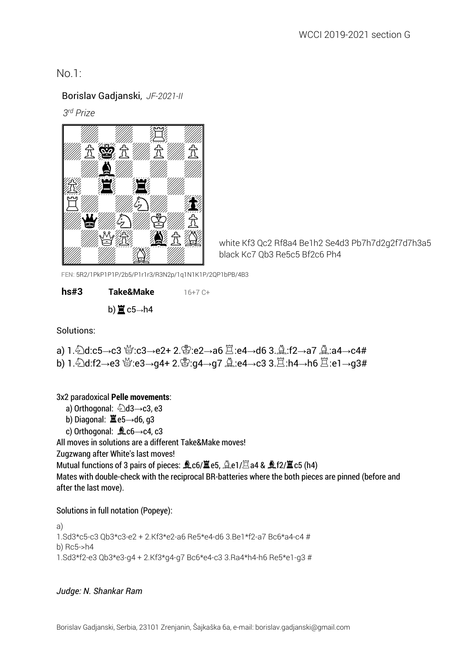## No.1:

### Borislav Gadjanski, *JF-2021-II*

 *3 rd Prize*



white Kf3 Qc2 Rf8a4 Be1h2 Se4d3 Pb7h7d2g2f7d7h3a5 black Kc7 Qb3 Re5c5 Bf2c6 Ph4

FEN: 5R2/1PkP1P1P/2b5/P1r1r3/R3N2p/1q1N1K1P/2QP1bPB/4B3

**hs#3 Take&Make** 16+7 C+ b) $\Xi$ c5→h4

Solutions:

a) 1. 2d:c5→c3 營:c3→e2+ 2. g:e2→a6  $\Xi$ :e4→d6 3.  $\triangle$ :f2→a7  $\triangle$ :a4→c4# b) 1. 2d:f2→e3 s:e3→g4+ 2. s:g4→g7 <u>A:e4→c3</u> 3. $\Xi$ :h4→h6  $\Xi$ :e1→g3#

3x2 paradoxical **Pelle movements**:

- a) Orthogonal: 2d3→c3, e3
- b) Diagonal:  $\Xi$ e5→d6, q3
- c) Orthogonal:  $\triangle$ c6 $\rightarrow$ c4, c3

All moves in solutions are a different Take&Make moves!

Zugzwang after White's last moves!

Mutual functions of 3 pairs of pieces:  $\triangle$ c6/ $\triangle$ e5,  $\triangle$ e1/ $\triangle$ a4 &  $\triangle$ f2/ $\triangle$ c5 (h4)

Mates with double-check with the reciprocal BR-batteries where the both pieces are pinned (before and after the last move).

Solutions in full notation (Popeye):

a) 1.Sd3\*c5-c3 Qb3\*c3-e2 + 2.Kf3\*e2-a6 Re5\*e4-d6 3.Be1\*f2-a7 Bc6\*a4-c4 # b) Rc5->h4 1.Sd3\*f2-e3 Qb3\*e3-g4 + 2.Kf3\*g4-g7 Bc6\*e4-c3 3.Ra4\*h4-h6 Re5\*e1-g3 #

#### *Judge: N. Shankar Ram*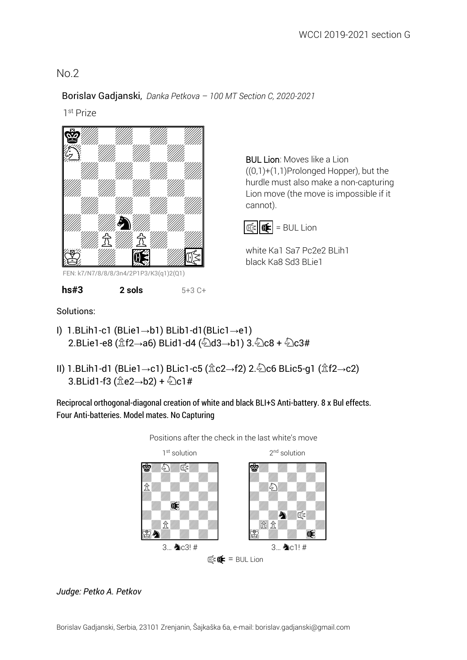BUL Lion: Moves like a Lion

white Ka1 Sa7 Pc2e2 BLih1

cannot).

 $|\mathbb{R}|$   $\mathbb{R}$  = BUL Lion

black Ka8 Sd3 BLie1

((0,1)+(1,1)Prolonged Hopper), but the hurdle must also make a non-capturing Lion move (the move is impossible if it

# No.2

#### Borislav Gadjanski, *Danka Petkova – 100 MT Section C, 2020-2021*

1st Prize



FEN: k7/N7/8/8/8/3n4/2P1P3/K3(q1)2(Q1)

 **hs#3 2 sols** 5+3 C+

Solutions:

- I) 1.BLih1-c1 (BLie1→b1) BLib1-d1(BLic1→e1) 2.BLie1-e8 ( $\angle$ f2→a6) BLid1-d4 ( $\angle$ d3→b1) 3. $\angle$ c8 +  $\angle$ c3#
- II) 1.BLih1-d1 (BLie1→c1) BLic1-c5 ( $\hat{\mathbb{Z}}$ c2→f2) 2. $\hat{\mathbb{Z}}$ c6 BLic5-g1 ( $\hat{\mathbb{Z}}$ f2→c2)  $3.BLid1-f3 ( $\hat{\mathbb{Z}}e2 \rightarrow b2$ ) +  $\hat{\mathbb{Z}}c1#$$

Reciprocal orthogonal-diagonal creation of white and black BLI+S Anti-battery. 8 x Bul effects. Four Anti-batteries. Model mates. No Capturing



Positions after the check in the last white's move

### *Judge: Petko A. Petkov*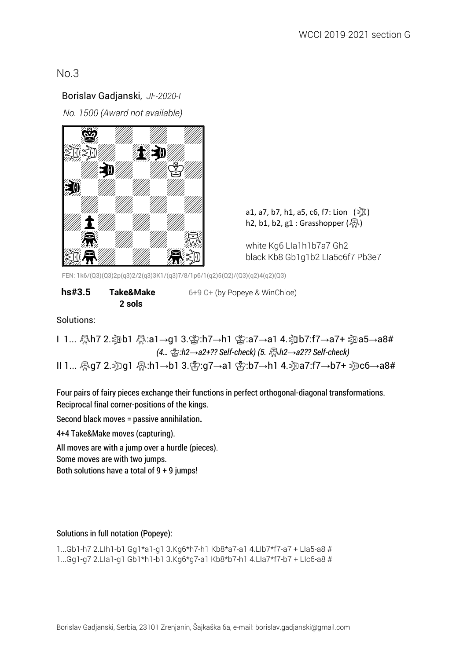### Borislav Gadjanski, *JF-2020-I*

 *No. 1500 (Award not available)*



h2, b1, b2, g1 : Grasshopper  $(\sqrt{R})$ 

white Kg6 LIa1h1b7a7 Gh2 black Kb8 Gb1g1b2 LIa5c6f7 Pb3e7

FEN: 1k6/(Q3)(Q3)2p(q3)2/2(q3)3K1/(q3)7/8/1p6/1(q2)5(Q2)/(Q3)(q2)4(q2)(Q3)

| hs#3.5 | Take&Make | 6+9 C+ (by Popeye & WinChloe) |
|--------|-----------|-------------------------------|
|        | 2 sols    |                               |

Solutions:

I 1... Oh7 2.Sb1 O:a1→g1 3.0:h7→h1 0:a7→a1 4.Sb7:f7→a7+ Sa5→a8#  *(4…* 0*:h2*→*a2+?? Self-check) (5.* O*h2*→*a2?? Self-check)* II 1... -Qq7 2. ③q1 -Qd.h1→b1 3. ④:g7→a1 -囟:b7→h1 4. ③na7:f7→b7+ ③c6→a8#

Four pairs of fairy pieces exchange their functions in perfect orthogonal-diagonal transformations. Reciprocal final corner-positions of the kings.

Second black moves = passive annihilation**.** 

4+4 Take&Make moves (capturing).

All moves are with a jump over a hurdle (pieces).

Some moves are with two jumps.

Both solutions have a total of 9 + 9 jumps!

#### Solutions in full notation (Popeye):

1...Gb1-h7 2.LIh1-b1 Gg1\*a1-g1 3.Kg6\*h7-h1 Kb8\*a7-a1 4.LIb7\*f7-a7 + LIa5-a8 #

1...Gg1-g7 2.LIa1-g1 Gb1\*h1-b1 3.Kg6\*g7-a1 Kb8\*b7-h1 4.LIa7\*f7-b7 + LIc6-a8 #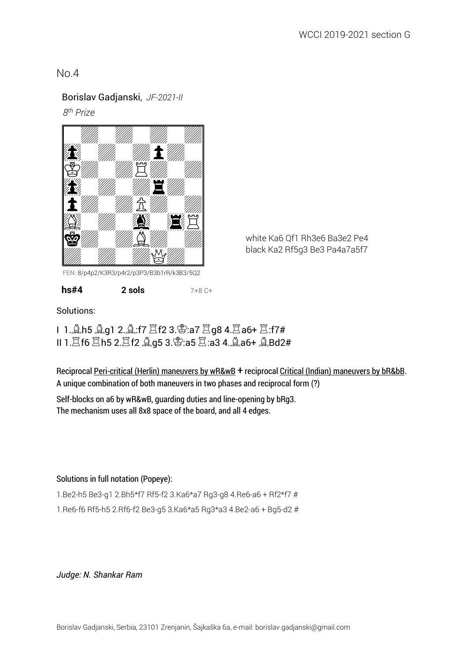#### Borislav Gadjanski, *JF-2021-II*

 *8 th Prize*



white Ka6 Qf1 Rh3e6 Ba3e2 Pe4 black Ka2 Rf5g3 Be3 Pa4a7a5f7

FEN: 8/p4p2/K3R3/p4r2/p3P3/B3b1rR/k3B3/5Q2

**hs#4 2 sols** 7+8 C+

Solutions:

I 1.Eh5 Eg1 2.E:f7 Gf2 3.K:a7 Gg8 4.Ga6+ G:f7# II 1.Gf6 Gh5 2.Gf2 Eg5 3.K:a5 G:a3 4.Ea6+ EBd2#

Reciprocal Peri-critical (Herlin) maneuvers by wR&wB + reciprocal Critical (Indian) maneuvers by bR&bB. А unique combination of both maneuvers in two phases and reciprocal form (?)

Self-blocks on a6 by wR&wB, guarding duties and line-opening by bRg3. The mechanism uses all 8x8 space of the board, and all 4 edges.

#### Solutions in full notation (Popeye):

1.Be2-h5 Be3-g1 2.Bh5\*f7 Rf5-f2 3.Ka6\*a7 Rg3-g8 4.Re6-a6 + Rf2\*f7 #

1.Re6-f6 Rf5-h5 2.Rf6-f2 Be3-g5 3.Ka6\*a5 Rg3\*a3 4.Be2-a6 + Bg5-d2 #

*Judge: N. Shankar Ram*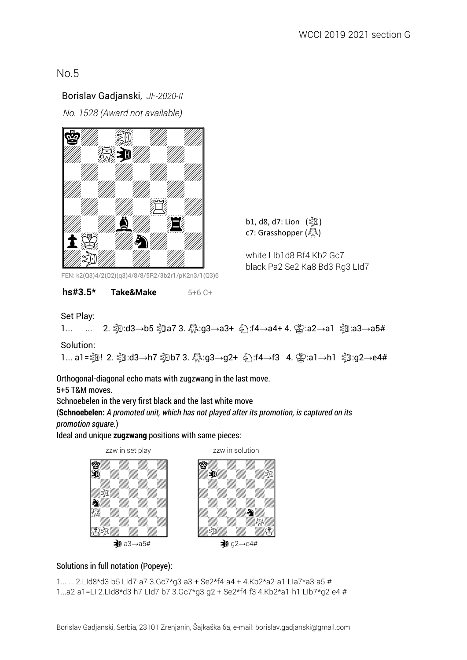## Borislav Gadjanski, *JF-2020-II*

 *No. 1528 (Award not available)*



FEN: k2(Q3)4/2(Q2)(q3)4/8/8/5R2/3b2r1/pK2n3/1(Q3)6

#### **hs#3.5\* Take&Make** 5+6 C+

Set Play:

```
 1... ... 2. S:d3→b5 Sa7 3. O:g3→a3+ ©:f4→a4+ 4. 0:a2→a1 S:a3→a5#
```
b1, d8, d7: Lion  $(\geqslant 0)$ c7: Grasshopper  $(\sqrt[R_0])$ 

white LIb1d8 Rf4 Kb2 Gc7

black Pa2 Se2 Ka8 Bd3 Rg3 LId7

Solution:

1... a1= $\overline{30}$ ! 2.  $\overline{30}$ :d3→h7  $\overline{30}$ b7 3.  $\overline{30}$ :g3→g2+  $\overline{6}$ ):f4→f3 4.  $\overline{32}$ :a1→h1  $\overline{30}$ :g2→e4#

Orthogonal-diagonal echo mats with zugzwang in the last move.

5+5 T&M moves.

Schnoebelen in the very first black and the last white move

(**Schnoebelen:** *A promoted unit, which has not played after its promotion, is captured on its promotion square.*)

Ideal and unique **zugzwang** positions with same pieces:



### Solutions in full notation (Popeye):

```
1... ... 2.LId8*d3-b5 LId7-a7 3.Gc7*g3-a3 + Se2*f4-a4 + 4.Kb2*a2-a1 LIa7*a3-a5 #
1...a2-a1=LI 2.LId8*d3-h7 LId7-b7 3.Gc7*g3-g2 + Se2*f4-f3 4.Kb2*a1-h1 LIb7*g2-e4 #
```